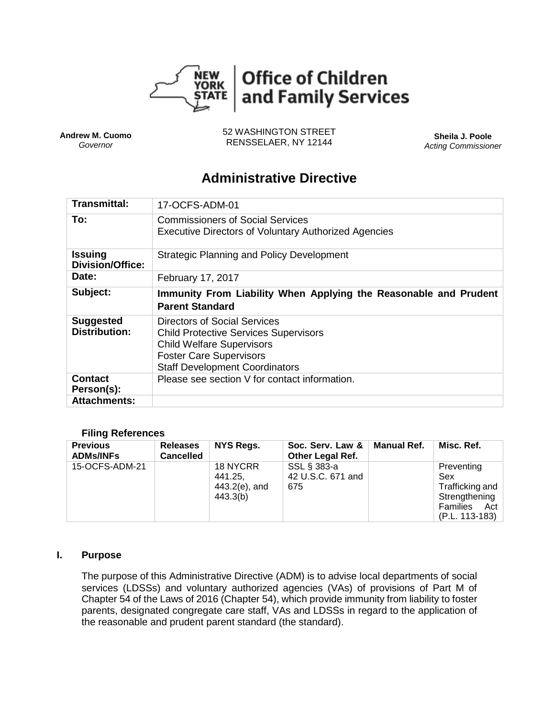

**Andrew M. Cuomo** *Governor*

52 WASHINGTON STREET RENSSELAER, NY 12144 **Sheila J. Poole**

*Acting Commissioner*

# **Administrative Directive**

| Transmittal:                              | 17-OCFS-ADM-01                                                                                                                                     |
|-------------------------------------------|----------------------------------------------------------------------------------------------------------------------------------------------------|
| To:                                       | <b>Commissioners of Social Services</b><br><b>Executive Directors of Voluntary Authorized Agencies</b>                                             |
| <b>Issuing</b><br><b>Division/Office:</b> | <b>Strategic Planning and Policy Development</b>                                                                                                   |
| Date:                                     | February 17, 2017                                                                                                                                  |
| Subject:                                  | Immunity From Liability When Applying the Reasonable and Prudent<br><b>Parent Standard</b>                                                         |
| <b>Suggested</b><br><b>Distribution:</b>  | Directors of Social Services<br><b>Child Protective Services Supervisors</b><br><b>Child Welfare Supervisors</b><br><b>Foster Care Supervisors</b> |
|                                           | <b>Staff Development Coordinators</b>                                                                                                              |
| Contact<br>Person(s):                     | Please see section V for contact information.                                                                                                      |

#### **Filing References**

| <b>Previous</b><br><b>ADMs/INFs</b> | <b>Releases</b><br><b>Cancelled</b> | <b>NYS Regs.</b>                                    | Soc. Serv. Law &<br><b>Other Legal Ref.</b> | <b>Manual Ref.</b> | Misc. Ref.                                                                              |
|-------------------------------------|-------------------------------------|-----------------------------------------------------|---------------------------------------------|--------------------|-----------------------------------------------------------------------------------------|
| 15-OCFS-ADM-21                      |                                     | 18 NYCRR<br>441.25,<br>$443.2(e)$ , and<br>443.3(b) | SSL § 383-a<br>42 U.S.C. 671 and<br>675     |                    | Preventing<br>Sex<br>Trafficking and<br>Strengthening<br>Families Act<br>(P.L. 113-183) |

#### **I. Purpose**

The purpose of this Administrative Directive (ADM) is to advise local departments of social services (LDSSs) and voluntary authorized agencies (VAs) of provisions of Part M of Chapter 54 of the Laws of 2016 (Chapter 54), which provide immunity from liability to foster parents, designated congregate care staff, VAs and LDSSs in regard to the application of the reasonable and prudent parent standard (the standard).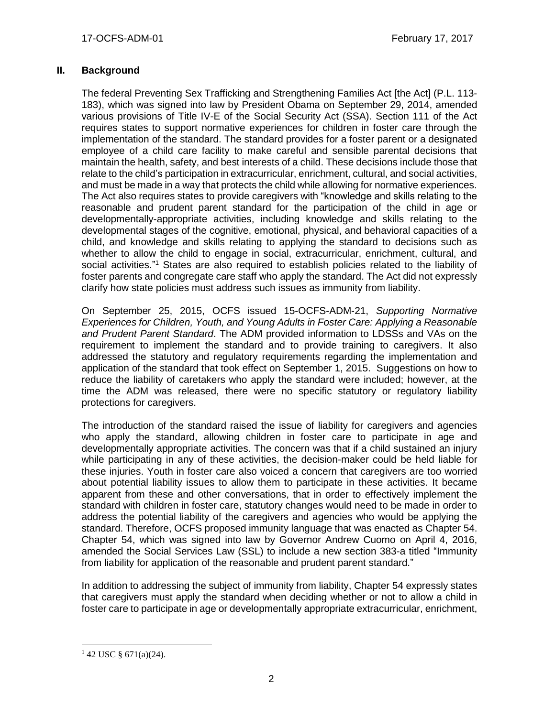## **II. Background**

The federal Preventing Sex Trafficking and Strengthening Families Act [the Act] (P.L. 113- 183), which was signed into law by President Obama on September 29, 2014, amended various provisions of Title IV-E of the Social Security Act (SSA). Section 111 of the Act requires states to support normative experiences for children in foster care through the implementation of the standard. The standard provides for a foster parent or a designated employee of a child care facility to make careful and sensible parental decisions that maintain the health, safety, and best interests of a child. These decisions include those that relate to the child's participation in extracurricular, enrichment, cultural, and social activities, and must be made in a way that protects the child while allowing for normative experiences. The Act also requires states to provide caregivers with "knowledge and skills relating to the reasonable and prudent parent standard for the participation of the child in age or developmentally-appropriate activities, including knowledge and skills relating to the developmental stages of the cognitive, emotional, physical, and behavioral capacities of a child, and knowledge and skills relating to applying the standard to decisions such as whether to allow the child to engage in social, extracurricular, enrichment, cultural, and social activities."<sup>1</sup> States are also required to establish policies related to the liability of foster parents and congregate care staff who apply the standard. The Act did not expressly clarify how state policies must address such issues as immunity from liability.

On September 25, 2015, OCFS issued 15-OCFS-ADM-21, *Supporting Normative Experiences for Children, Youth, and Young Adults in Foster Care: Applying a Reasonable and Prudent Parent Standard*. The ADM provided information to LDSSs and VAs on the requirement to implement the standard and to provide training to caregivers. It also addressed the statutory and regulatory requirements regarding the implementation and application of the standard that took effect on September 1, 2015. Suggestions on how to reduce the liability of caretakers who apply the standard were included; however, at the time the ADM was released, there were no specific statutory or regulatory liability protections for caregivers.

The introduction of the standard raised the issue of liability for caregivers and agencies who apply the standard, allowing children in foster care to participate in age and developmentally appropriate activities. The concern was that if a child sustained an injury while participating in any of these activities, the decision-maker could be held liable for these injuries. Youth in foster care also voiced a concern that caregivers are too worried about potential liability issues to allow them to participate in these activities. It became apparent from these and other conversations, that in order to effectively implement the standard with children in foster care, statutory changes would need to be made in order to address the potential liability of the caregivers and agencies who would be applying the standard. Therefore, OCFS proposed immunity language that was enacted as Chapter 54. Chapter 54, which was signed into law by Governor Andrew Cuomo on April 4, 2016, amended the Social Services Law (SSL) to include a new section 383-a titled "Immunity from liability for application of the reasonable and prudent parent standard."

In addition to addressing the subject of immunity from liability, Chapter 54 expressly states that caregivers must apply the standard when deciding whether or not to allow a child in foster care to participate in age or developmentally appropriate extracurricular, enrichment,

 $\overline{a}$ 

 $142$  USC § 671(a)(24).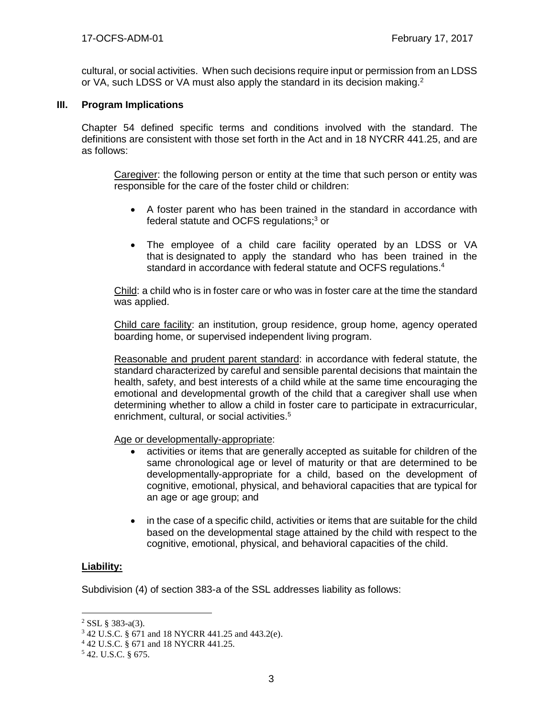cultural, or social activities. When such decisions require input or permission from an LDSS or VA, such LDSS or VA must also apply the standard in its decision making.<sup>2</sup>

#### **III. Program Implications**

Chapter 54 defined specific terms and conditions involved with the standard. The definitions are consistent with those set forth in the Act and in 18 NYCRR 441.25, and are as follows:

Caregiver: the following person or entity at the time that such person or entity was responsible for the care of the foster child or children:

- A foster parent who has been trained in the standard in accordance with federal statute and OCFS regulations;<sup>3</sup> or
- The employee of a child care facility operated by an LDSS or VA that is designated to apply the standard who has been trained in the standard in accordance with federal statute and OCFS regulations.<sup>4</sup>

Child: a child who is in foster care or who was in foster care at the time the standard was applied.

Child care facility: an institution, group residence, group home, agency operated boarding home, or supervised independent living program.

Reasonable and prudent parent standard: in accordance with federal statute, the standard characterized by careful and sensible parental decisions that maintain the health, safety, and best interests of a child while at the same time encouraging the emotional and developmental growth of the child that a caregiver shall use when determining whether to allow a child in foster care to participate in extracurricular, enrichment, cultural, or social activities.<sup>5</sup>

Age or developmentally-appropriate:

- activities or items that are generally accepted as suitable for children of the same chronological age or level of maturity or that are determined to be developmentally-appropriate for a child, based on the development of cognitive, emotional, physical, and behavioral capacities that are typical for an age or age group; and
- in the case of a specific child, activities or items that are suitable for the child based on the developmental stage attained by the child with respect to the cognitive, emotional, physical, and behavioral capacities of the child.

## **Liability:**

 $\overline{a}$ 

Subdivision (4) of section 383-a of the SSL addresses liability as follows:

 $2$  SSL § 383-a(3).

<sup>3</sup> 42 U.S.C. § 671 and 18 NYCRR 441.25 and 443.2(e).

<sup>4</sup> 42 U.S.C. § 671 and 18 NYCRR 441.25.

 $5$  42. U.S.C. § 675.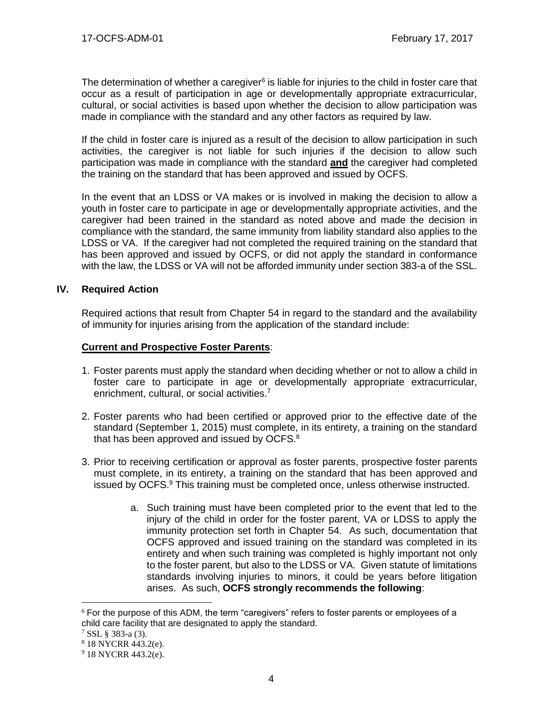The determination of whether a caregiver $6$  is liable for injuries to the child in foster care that occur as a result of participation in age or developmentally appropriate extracurricular, cultural, or social activities is based upon whether the decision to allow participation was made in compliance with the standard and any other factors as required by law.

If the child in foster care is injured as a result of the decision to allow participation in such activities, the caregiver is not liable for such injuries if the decision to allow such participation was made in compliance with the standard **and** the caregiver had completed the training on the standard that has been approved and issued by OCFS.

In the event that an LDSS or VA makes or is involved in making the decision to allow a youth in foster care to participate in age or developmentally appropriate activities, and the caregiver had been trained in the standard as noted above and made the decision in compliance with the standard, the same immunity from liability standard also applies to the LDSS or VA. If the caregiver had not completed the required training on the standard that has been approved and issued by OCFS, or did not apply the standard in conformance with the law, the LDSS or VA will not be afforded immunity under section 383-a of the SSL.

#### **IV. Required Action**

Required actions that result from Chapter 54 in regard to the standard and the availability of immunity for injuries arising from the application of the standard include:

#### **Current and Prospective Foster Parents**:

- 1. Foster parents must apply the standard when deciding whether or not to allow a child in foster care to participate in age or developmentally appropriate extracurricular, enrichment, cultural, or social activities.<sup>7</sup>
- 2. Foster parents who had been certified or approved prior to the effective date of the standard (September 1, 2015) must complete, in its entirety, a training on the standard that has been approved and issued by OCFS. $8$
- 3. Prior to receiving certification or approval as foster parents, prospective foster parents must complete, in its entirety, a training on the standard that has been approved and issued by OCFS.<sup>9</sup> This training must be completed once, unless otherwise instructed.
	- a. Such training must have been completed prior to the event that led to the injury of the child in order for the foster parent, VA or LDSS to apply the immunity protection set forth in Chapter 54. As such, documentation that OCFS approved and issued training on the standard was completed in its entirety and when such training was completed is highly important not only to the foster parent, but also to the LDSS or VA. Given statute of limitations standards involving injuries to minors, it could be years before litigation arises. As such, **OCFS strongly recommends the following**:

 $\overline{a}$ 

 $6$  For the purpose of this ADM, the term "caregivers" refers to foster parents or employees of a child care facility that are designated to apply the standard.

 $7$  SSL § 383-a (3).

<sup>8</sup> 18 NYCRR 443.2(e).

 $9$  18 NYCRR 443.2(e).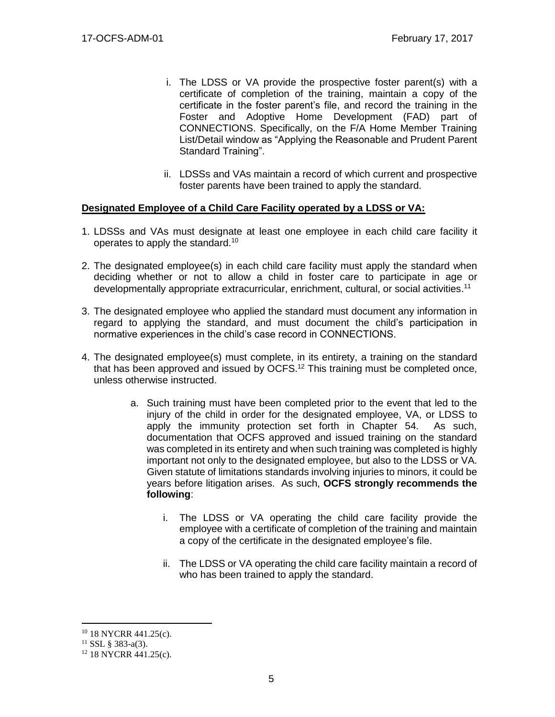- i. The LDSS or VA provide the prospective foster parent(s) with a certificate of completion of the training, maintain a copy of the certificate in the foster parent's file, and record the training in the Foster and Adoptive Home Development (FAD) part of CONNECTIONS. Specifically, on the F/A Home Member Training List/Detail window as "Applying the Reasonable and Prudent Parent Standard Training".
- ii. LDSSs and VAs maintain a record of which current and prospective foster parents have been trained to apply the standard.

#### **Designated Employee of a Child Care Facility operated by a LDSS or VA:**

- 1. LDSSs and VAs must designate at least one employee in each child care facility it operates to apply the standard.<sup>10</sup>
- 2. The designated employee(s) in each child care facility must apply the standard when deciding whether or not to allow a child in foster care to participate in age or developmentally appropriate extracurricular, enrichment, cultural, or social activities.<sup>11</sup>
- 3. The designated employee who applied the standard must document any information in regard to applying the standard, and must document the child's participation in normative experiences in the child's case record in CONNECTIONS.
- 4. The designated employee(s) must complete, in its entirety, a training on the standard that has been approved and issued by OCFS.<sup>12</sup> This training must be completed once, unless otherwise instructed.
	- a. Such training must have been completed prior to the event that led to the injury of the child in order for the designated employee, VA, or LDSS to apply the immunity protection set forth in Chapter 54. As such, documentation that OCFS approved and issued training on the standard was completed in its entirety and when such training was completed is highly important not only to the designated employee, but also to the LDSS or VA. Given statute of limitations standards involving injuries to minors, it could be years before litigation arises. As such, **OCFS strongly recommends the following**:
		- i. The LDSS or VA operating the child care facility provide the employee with a certificate of completion of the training and maintain a copy of the certificate in the designated employee's file.
		- ii. The LDSS or VA operating the child care facility maintain a record of who has been trained to apply the standard.

 $\overline{a}$ 

<sup>&</sup>lt;sup>10</sup> 18 NYCRR 441.25(c).

 $11$  SSL  $\frac{1}{2}$  383-a(3).

<sup>12</sup> 18 NYCRR 441.25(c).